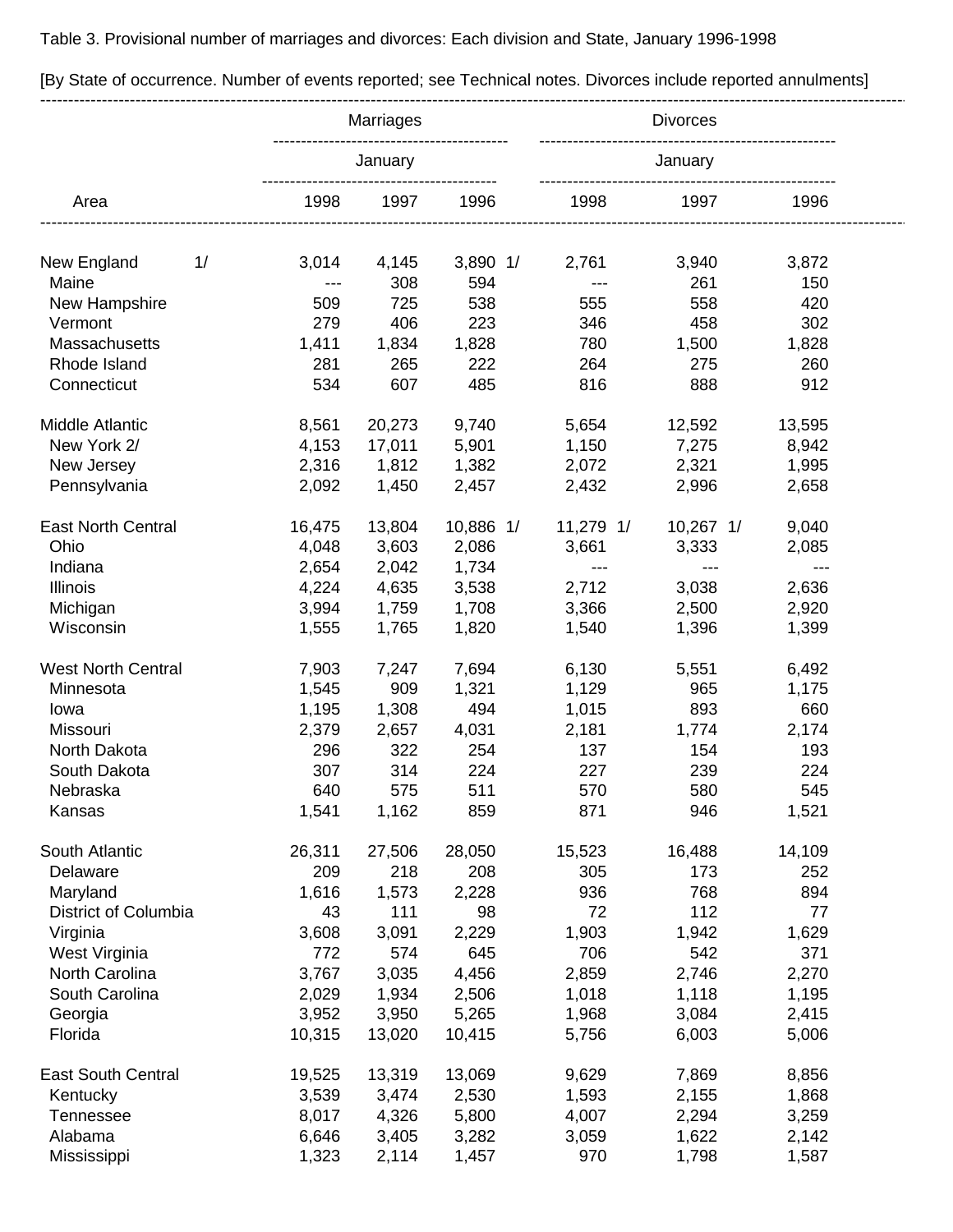Table 3. Provisional number of marriages and divorces: Each division and State, January 1996-1998

|                           | Marriages<br>January |              |              | <b>Divorces</b><br>January                                |                                          |        |
|---------------------------|----------------------|--------------|--------------|-----------------------------------------------------------|------------------------------------------|--------|
| Area                      |                      |              |              |                                                           |                                          |        |
|                           | 1998                 | 1997         | 1996         | 1998                                                      | 1997                                     | 1996   |
| 1/<br>New England         | 3,014                | 4,145        | $3,890$ 1/   | 2,761                                                     | 3,940                                    | 3,872  |
| Maine                     | $---$                | 308          | 594          | $\hspace{0.05cm}$ - $\hspace{0.05cm}$ - $\hspace{0.05cm}$ | 261                                      | 150    |
| New Hampshire             | 509                  | 725          | 538          | 555                                                       | 558                                      | 420    |
| Vermont                   | 279                  | 406          | 223          | 346                                                       | 458                                      | 302    |
| Massachusetts             | 1,411                |              |              | 780                                                       | 1,500                                    | 1,828  |
| Rhode Island              | 281                  | 1,834<br>265 | 1,828<br>222 | 264                                                       | 275                                      | 260    |
| Connecticut               | 534                  | 607          | 485          | 816                                                       | 888                                      | 912    |
|                           |                      |              |              |                                                           |                                          |        |
| Middle Atlantic           | 8,561                | 20,273       | 9,740        | 5,654                                                     | 12,592                                   | 13,595 |
| New York 2/               | 4,153                | 17,011       | 5,901        | 1,150                                                     | 7,275                                    | 8,942  |
| New Jersey                | 2,316                | 1,812        | 1,382        | 2,072                                                     | 2,321                                    | 1,995  |
| Pennsylvania              | 2,092                | 1,450        | 2,457        | 2,432                                                     | 2,996                                    | 2,658  |
| <b>East North Central</b> | 16,475               | 13,804       | 10,886 1/    | 11,279 1/                                                 | $10,267$ 1/                              | 9,040  |
| Ohio                      | 4,048                | 3,603        | 2,086        | 3,661                                                     | 3,333                                    | 2,085  |
| Indiana                   | 2,654                | 2,042        | 1,734        | $\scriptstyle \cdots$                                     | $\hspace{0.05cm} \ldots \hspace{0.05cm}$ | $---$  |
| Illinois                  | 4,224                | 4,635        | 3,538        | 2,712                                                     | 3,038                                    | 2,636  |
| Michigan                  | 3,994                | 1,759        | 1,708        | 3,366                                                     | 2,500                                    | 2,920  |
| Wisconsin                 | 1,555                | 1,765        | 1,820        | 1,540                                                     | 1,396                                    | 1,399  |
|                           |                      |              |              |                                                           |                                          |        |
| <b>West North Central</b> | 7,903                | 7,247        | 7,694        | 6,130                                                     | 5,551                                    | 6,492  |
| Minnesota                 | 1,545                | 909          | 1,321        | 1,129                                                     | 965                                      | 1,175  |
| lowa                      | 1,195                | 1,308        | 494          | 1,015                                                     | 893                                      | 660    |
| Missouri                  | 2,379                | 2,657        | 4,031        | 2,181                                                     | 1,774                                    | 2,174  |
| North Dakota              | 296                  | 322          | 254          | 137                                                       | 154                                      | 193    |
| South Dakota              | 307                  | 314          | 224          | 227                                                       | 239                                      | 224    |
| Nebraska                  | 640                  | 575          | 511          | 570                                                       | 580                                      | 545    |
| Kansas                    | 1,541                | 1,162        | 859          | 871                                                       | 946                                      | 1,521  |
| South Atlantic            | 26,311               | 27,506       | 28,050       | 15,523                                                    | 16,488                                   | 14,109 |
| Delaware                  | 209                  | 218          | 208          | 305                                                       | 173                                      | 252    |
| Maryland                  | 1,616                | 1,573        | 2,228        | 936                                                       | 768                                      | 894    |
| District of Columbia      | 43                   | 111          | 98           | 72                                                        | 112                                      | 77     |
| Virginia                  | 3,608                | 3,091        | 2,229        | 1,903                                                     | 1,942                                    | 1,629  |
| West Virginia             | 772                  | 574          | 645          | 706                                                       | 542                                      | 371    |
| North Carolina            | 3,767                | 3,035        | 4,456        | 2,859                                                     | 2,746                                    | 2,270  |
| South Carolina            | 2,029                | 1,934        | 2,506        | 1,018                                                     | 1,118                                    | 1,195  |
| Georgia                   | 3,952                | 3,950        | 5,265        | 1,968                                                     | 3,084                                    | 2,415  |
| Florida                   | 10,315               | 13,020       | 10,415       | 5,756                                                     | 6,003                                    | 5,006  |
| <b>East South Central</b> | 19,525               | 13,319       | 13,069       | 9,629                                                     | 7,869                                    | 8,856  |
| Kentucky                  | 3,539                | 3,474        | 2,530        | 1,593                                                     | 2,155                                    | 1,868  |
| Tennessee                 | 8,017                | 4,326        | 5,800        | 4,007                                                     | 2,294                                    | 3,259  |
| Alabama                   | 6,646                | 3,405        | 3,282        | 3,059                                                     | 1,622                                    | 2,142  |
| Mississippi               | 1,323                | 2,114        | 1,457        | 970                                                       | 1,798                                    | 1,587  |

[By State of occurrence. Number of events reported; see Technical notes. Divorces include reported annulments]